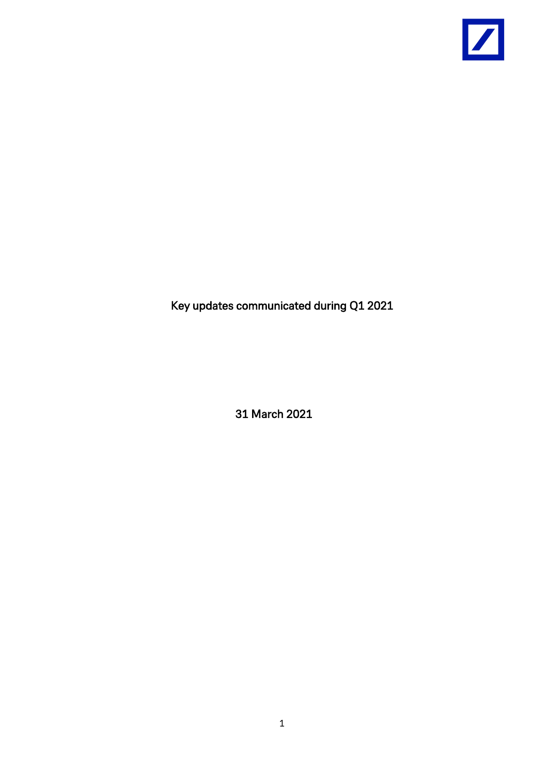

Key updates communicated during Q1 2021

31 March 2021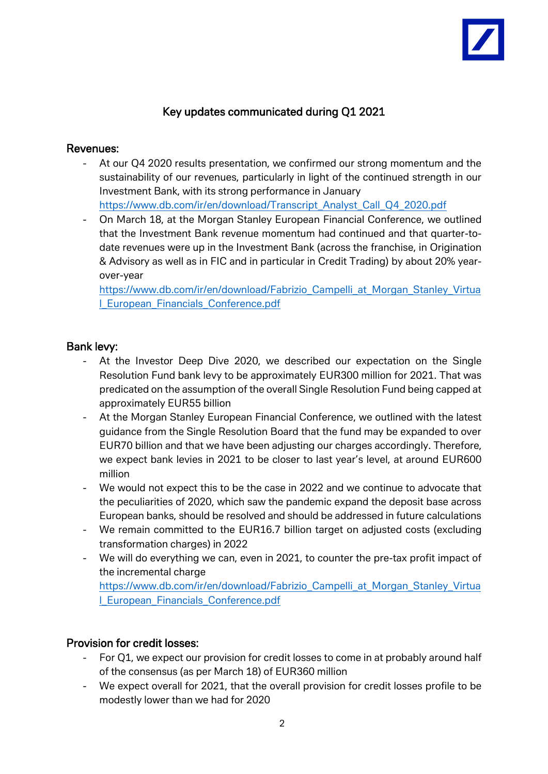# Key updates communicated during Q1 2021

## Revenues:

- At our Q4 2020 results presentation, we confirmed our strong momentum and the sustainability of our revenues, particularly in light of the continued strength in our Investment Bank, with its strong performance in January [https://www.db.com/ir/en/download/Transcript\\_Analyst\\_Call\\_Q4\\_2020.pdf](https://www.db.com/ir/en/download/Transcript_Analyst_Call_Q4_2020.pdf)
- On March 18, at the Morgan Stanley European Financial Conference, we outlined that the Investment Bank revenue momentum had continued and that quarter-todate revenues were up in the Investment Bank (across the franchise, in Origination & Advisory as well as in FIC and in particular in Credit Trading) by about 20% yearover-year

[https://www.db.com/ir/en/download/Fabrizio\\_Campelli\\_at\\_Morgan\\_Stanley\\_Virtua](https://www.db.com/ir/en/download/Fabrizio_Campelli_at_Morgan_Stanley_Virtual_European_Financials_Conference.pdf) [l\\_European\\_Financials\\_Conference.pdf](https://www.db.com/ir/en/download/Fabrizio_Campelli_at_Morgan_Stanley_Virtual_European_Financials_Conference.pdf)

## Bank levy:

- At the Investor Deep Dive 2020, we described our expectation on the Single Resolution Fund bank levy to be approximately EUR300 million for 2021. That was predicated on the assumption of the overall Single Resolution Fund being capped at approximately EUR55 billion
- At the Morgan Stanley European Financial Conference, we outlined with the latest guidance from the Single Resolution Board that the fund may be expanded to over EUR70 billion and that we have been adjusting our charges accordingly. Therefore, we expect bank levies in 2021 to be closer to last year's level, at around EUR600 million
- We would not expect this to be the case in 2022 and we continue to advocate that the peculiarities of 2020, which saw the pandemic expand the deposit base across European banks, should be resolved and should be addressed in future calculations
- We remain committed to the EUR16.7 billion target on adjusted costs (excluding transformation charges) in 2022
- We will do everything we can, even in 2021, to counter the pre-tax profit impact of the incremental charge

[https://www.db.com/ir/en/download/Fabrizio\\_Campelli\\_at\\_Morgan\\_Stanley\\_Virtua](https://www.db.com/ir/en/download/Fabrizio_Campelli_at_Morgan_Stanley_Virtual_European_Financials_Conference.pdf) [l\\_European\\_Financials\\_Conference.pdf](https://www.db.com/ir/en/download/Fabrizio_Campelli_at_Morgan_Stanley_Virtual_European_Financials_Conference.pdf)

## Provision for credit losses:

- For Q1, we expect our provision for credit losses to come in at probably around half of the consensus (as per March 18) of EUR360 million
- We expect overall for 2021, that the overall provision for credit losses profile to be modestly lower than we had for 2020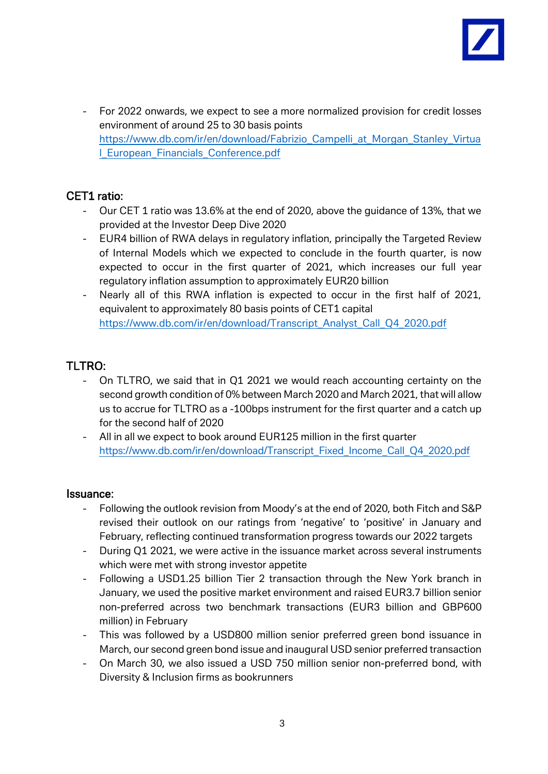

- For 2022 onwards, we expect to see a more normalized provision for credit losses environment of around 25 to 30 basis points [https://www.db.com/ir/en/download/Fabrizio\\_Campelli\\_at\\_Morgan\\_Stanley\\_Virtua](https://www.db.com/ir/en/download/Fabrizio_Campelli_at_Morgan_Stanley_Virtual_European_Financials_Conference.pdf) [l\\_European\\_Financials\\_Conference.pdf](https://www.db.com/ir/en/download/Fabrizio_Campelli_at_Morgan_Stanley_Virtual_European_Financials_Conference.pdf)

## CET1 ratio:

- Our CET 1 ratio was 13.6% at the end of 2020, above the guidance of 13%, that we provided at the Investor Deep Dive 2020
- EUR4 billion of RWA delays in regulatory inflation, principally the Targeted Review of Internal Models which we expected to conclude in the fourth quarter, is now expected to occur in the first quarter of 2021, which increases our full year regulatory inflation assumption to approximately EUR20 billion
- Nearly all of this RWA inflation is expected to occur in the first half of 2021, equivalent to approximately 80 basis points of CET1 capital [https://www.db.com/ir/en/download/Transcript\\_Analyst\\_Call\\_Q4\\_2020.pdf](https://www.db.com/ir/en/download/Transcript_Analyst_Call_Q4_2020.pdf)

## TLTRO:

- On TLTRO, we said that in Q1 2021 we would reach accounting certainty on the second growth condition of 0% between March 2020 and March 2021, that will allow us to accrue for TLTRO as a -100bps instrument for the first quarter and a catch up for the second half of 2020
- All in all we expect to book around EUR125 million in the first quarter [https://www.db.com/ir/en/download/Transcript\\_Fixed\\_Income\\_Call\\_Q4\\_2020.pdf](https://www.db.com/ir/en/download/Transcript_Fixed_Income_Call_Q4_2020.pdf)

## Issuance:

- Following the outlook revision from Moody's at the end of 2020, both Fitch and S&P revised their outlook on our ratings from 'negative' to 'positive' in January and February, reflecting continued transformation progress towards our 2022 targets
- During Q1 2021, we were active in the issuance market across several instruments which were met with strong investor appetite
- Following a USD1.25 billion Tier 2 transaction through the New York branch in January, we used the positive market environment and raised EUR3.7 billion senior non-preferred across two benchmark transactions (EUR3 billion and GBP600 million) in February
- This was followed by a USD800 million senior preferred green bond issuance in March, our second green bond issue and inaugural USD senior preferred transaction
- On March 30, we also issued a USD 750 million senior non-preferred bond, with Diversity & Inclusion firms as bookrunners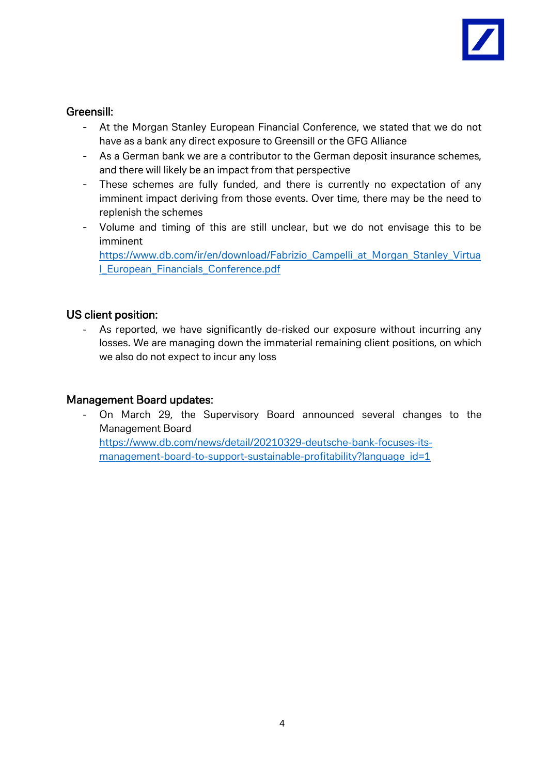

## Greensill:

- At the Morgan Stanley European Financial Conference, we stated that we do not have as a bank any direct exposure to Greensill or the GFG Alliance
- As a German bank we are a contributor to the German deposit insurance schemes, and there will likely be an impact from that perspective
- These schemes are fully funded, and there is currently no expectation of any imminent impact deriving from those events. Over time, there may be the need to replenish the schemes
- Volume and timing of this are still unclear, but we do not envisage this to be imminent

[https://www.db.com/ir/en/download/Fabrizio\\_Campelli\\_at\\_Morgan\\_Stanley\\_Virtua](https://www.db.com/ir/en/download/Fabrizio_Campelli_at_Morgan_Stanley_Virtual_European_Financials_Conference.pdf) [l\\_European\\_Financials\\_Conference.pdf](https://www.db.com/ir/en/download/Fabrizio_Campelli_at_Morgan_Stanley_Virtual_European_Financials_Conference.pdf)

## US client position:

As reported, we have significantly de-risked our exposure without incurring any losses. We are managing down the immaterial remaining client positions, on which we also do not expect to incur any loss

## Management Board updates:

- On March 29, the Supervisory Board announced several changes to the Management Board https://www.db.com/news/detail/20210329-deutsche-bank-focuses-itsmanagement-board-to-support-sustainable-profitability?language\_id=1